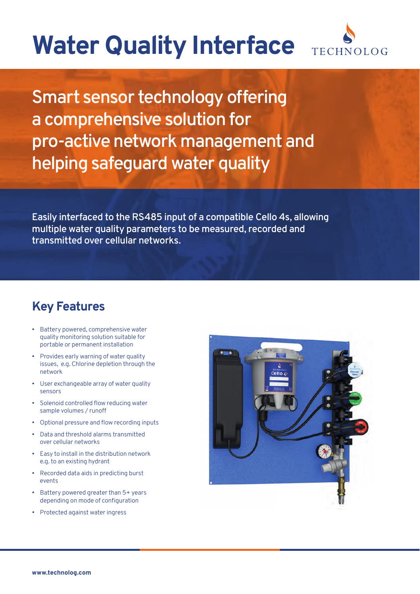## **Water Quality Interface**



Smart sensor technology offering a comprehensive solution for pro-active network management and helping safeguard water quality

Easily interfaced to the RS485 input of a compatible Cello 4s, allowing multiple water quality parameters to be measured, recorded and transmitted over cellular networks.

## **Key Features**

- Battery powered, comprehensive water quality monitoring solution suitable for portable or permanent installation
- Provides early warning of water quality issues, e.g. Chlorine depletion through the network
- User exchangeable array of water quality sensors
- Solenoid controlled flow reducing water sample volumes / runoff
- Optional pressure and flow recording inputs
- Data and threshold alarms transmitted over cellular networks
- Easy to install in the distribution network e.g. to an existing hydrant
- Recorded data aids in predicting burst events
- Battery powered greater than 5+ years depending on mode of configuration
- Protected against water ingress